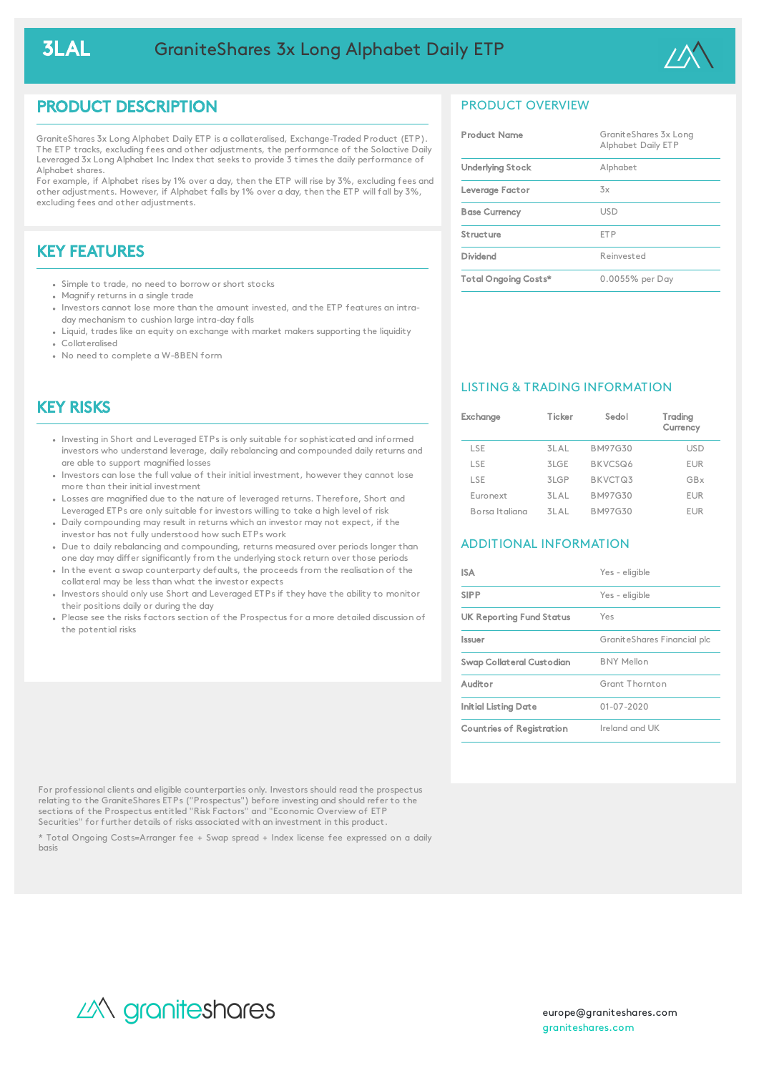

## PRODUCT DESCRIPTION

GraniteShares 3x Long Alphabet Daily ETP is a collateralised, Exchange-Traded Product (ETP). The ETP tracks, excluding fees and other adjustments, the performance of the Solactive Daily Leveraged 3x Long Alphabet Inc Index that seeks to provide 3 times the daily performance of Alphabet shares.

For example, if Alphabet rises by 1% over a day, then the ETP will rise by 3%, excluding fees and other adjustments. However, if Alphabet falls by 1% over a day, then the ETP will fall by 3%, excluding fees and other adjustments.

# KEY FEATURES

- Simple to trade, no need to borrow or short stocks
- Magnify returns in a single trade
- Investors cannot lose more than the amount invested, and the ETP features an intraday mechanism to cushion large intra-day falls
- Liquid, trades like an equity on exchange with market makers supporting the liquidity Collateralised
- No need to complete a W-8BEN form

## KEY RISKS

- Investing in Short and Leveraged ETPs is only suitable for sophisticated and informed investors who understand leverage, daily rebalancing and compounded daily returns and are able to support magnified losses
- Investors can lose the full value of their initial investment, however they cannot lose more than their initial investment
- Losses are magnified due to the nature of leveraged returns. Therefore, Short and Leveraged ETPs are only suitable for investors willing to take a high level of risk
- Daily compounding may result in returns which an investor may not expect, if the investor has not fully understood how such ETPs work
- Due to daily rebalancing and compounding, returns measured over periods longer than one day may differ significantly from the underlying stock return over those periods
- In the event a swap counterparty defaults, the proceeds from the realisation of the collateral may be less than what the investor expects
- . Investors should only use Short and Leveraged ETPs if they have the ability to monitor their positions daily or during the day
- Please see the risks factors section of the Prospectus for a more detailed discussion of the potential risks

## PRODUCT OVERVIEW

| <b>Product Name</b>     | GraniteShares 3x Long<br>Alphabet Daily ETP |
|-------------------------|---------------------------------------------|
| <b>Underlying Stock</b> | Alphabet                                    |
| Leverage Factor         | $\frac{7}{2}x$                              |
| <b>Base Currency</b>    | <b>USD</b>                                  |
| Structure               | <b>FTP</b>                                  |
| Dividend                | Reinvested                                  |
| Total Ongoing Costs*    | 0.0055% per Day                             |

### LISTING & TRADING INFORMATION

| Exchange       | Ticker | Sedol          | Trading<br>Currency |
|----------------|--------|----------------|---------------------|
| LSE            | 3LAL   | <b>BM97G30</b> | <b>USD</b>          |
| LSE            | 3LGE   | BKVCSQ6        | <b>EUR</b>          |
| LSE            | 3LGP   | BKVCTQ3        | GBx                 |
| Euronext       | 31 A I | <b>BM97G30</b> | <b>EUR</b>          |
| Borsa Italiana | 31 A I | BM97G30        | EUR                 |

### ADDITIONAL INFORMATION

| ISA                             | Yes - eligible              |
|---------------------------------|-----------------------------|
| <b>SIPP</b>                     | Yes - eligible              |
| <b>UK Reporting Fund Status</b> | Yes                         |
| Issuer                          | GraniteShares Financial plc |
| Swap Collateral Custodian       | <b>BNY Mellon</b>           |
| Auditor                         | Grant Thornton              |
| Initial Listing Date            | $01 - 07 - 2020$            |
| Countries of Registration       | Ireland and UK              |

For professional clients and eligible counterparties only. Investors should read the prospectus relating to the GraniteShares ETPs ("Prospectus") before investing and should refer to the sections of the Prospectus entitled "Risk Factors" and "Economic Overview of ETP Securities" for further details of risks associated with an investment in this product.

\* Total Ongoing Costs=Arranger fee + Swap spread + Index license fee expressed on a daily basis